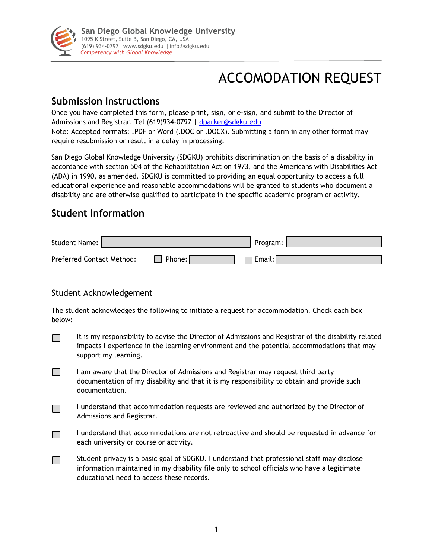

# ACCOMODATION REQUEST

## **Submission Instructions**

Once you have completed this form, please print, sign, or e-sign, and submit to the Director of Admissions and Registrar. Tel (619)934-0797 | dparker@sdgku.edu Note: Accepted formats: .PDF or Word (.DOC or .DOCX). Submitting a form in any other format may require resubmission or result in a delay in processing.

San Diego Global Knowledge University (SDGKU) prohibits discrimination on the basis of a disability in accordance with section 504 of the Rehabilitation Act on 1973, and the Americans with Disabilities Act (ADA) in 1990, as amended. SDGKU is committed to providing an equal opportunity to access a full educational experience and reasonable accommodations will be granted to students who document a disability and are otherwise qualified to participate in the specific academic program or activity.

## **Student Information**

| Student Name:                    |        | Program: |  |
|----------------------------------|--------|----------|--|
| <b>Preferred Contact Method:</b> | Phone: | Email: I |  |

### Student Acknowledgement

The student acknowledges the following to initiate a request for accommodation. Check each box below:

- It is my responsibility to advise the Director of Admissions and Registrar of the disability related  $\Box$ impacts I experience in the learning environment and the potential accommodations that may support my learning.
- $\Box$ I am aware that the Director of Admissions and Registrar may request third party documentation of my disability and that it is my responsibility to obtain and provide such documentation.
- I understand that accommodation requests are reviewed and authorized by the Director of  $\Box$ Admissions and Registrar.
- $\Box$ I understand that accommodations are not retroactive and should be requested in advance for each university or course or activity.
- Student privacy is a basic goal of SDGKU. I understand that professional staff may disclose  $\Box$ information maintained in my disability file only to school officials who have a legitimate educational need to access these records.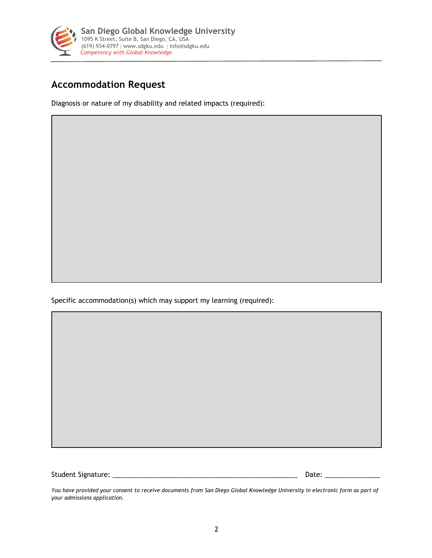

## **Accommodation Request**

Diagnosis or nature of my disability and related impacts (required):

Specific accommodation(s) which may support my learning (required):

Student Signature: \_\_\_\_\_\_\_\_\_\_\_\_\_\_\_\_\_\_\_\_\_\_\_\_\_\_\_\_\_\_\_\_\_\_\_\_\_\_\_\_\_\_\_\_\_\_\_\_\_\_ Date: \_\_\_\_\_\_\_\_\_\_\_\_\_\_\_

*You have provided your consent to receive documents from San Diego Global Knowledge University in electronic form as part of your admissions application.*